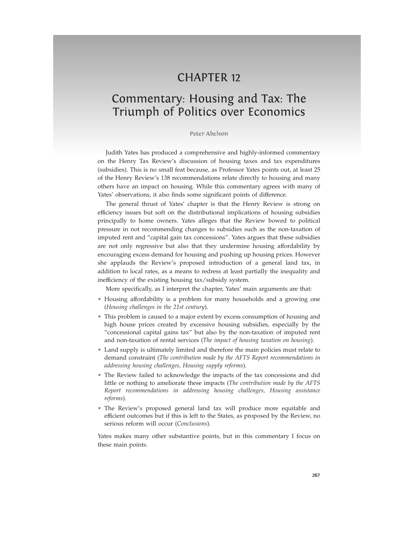## **CHAPTER 12**

# Commentary: Housing and Tax: The Triumph of Politics over Economics

#### Peter Abelson and the contract of the contract of the contract of the contract of the contract of the contract of the contract of the contract of the contract of the contract of the contract of the contract of the contract

Judith Yates has produced a comprehensive and highly-informed commentary on the Henry Tax Review's discussion of housing taxes and tax expenditures (subsidies). This is no small feat because, as Professor Yates points out, at least 25 of the Henry Review's 138 recommendations relate directly to housing and many others have an impact on housing. While this commentary agrees with many of Yates' observations, it also finds some significant points of difference.

The general thrust of Yates' chapter is that the Henry Review is strong on efficiency issues but soft on the distributional implications of housing subsidies principally to home owners. Yates alleges that the Review bowed to political pressure in not recommending changes to subsidies such as the non-taxation of imputed rent and "capital gain tax concessions". Yates argues that these subsidies are not only regressive but also that they undermine housing affordability by encouraging excess demand for housing and pushing up housing prices. However she applauds the Review's proposed introduction of a general land tax, in addition to local rates, as a means to redress at least partially the inequality and inefficiency of the existing housing tax/subsidy system.

More specifically, as I interpret the chapter, Yates' main arguments are that:

- Housing affordability is a problem for many households and a growing one (*Housing challenges in the 21st century*).
- This problem is caused to a major extent by excess consumption of housing and high house prices created by excessive housing subsidies, especially by the "concessional capital gains tax" but also by the non-taxation of imputed rent and non-taxation of rental services (*The impact of housing taxation on housing*).
- Land supply is ultimately limited and therefore the main policies must relate to demand constraint (*The contribution made by the AFTS Report recommendations in addressing housing challenges, Housing supply reforms*).
- The Review failed to acknowledge the impacts of the tax concessions and did little or nothing to ameliorate these impacts (*The contribution made by the AFTS Report recommendations in addressing housing challenges, Housing assistance reforms*).
- The Review's proposed general land tax will produce more equitable and efficient outcomes but if this is left to the States, as proposed by the Review, no serious reform will occur (*Conclusions*).

Yates makes many other substantive points, but in this commentary I focus on these main points.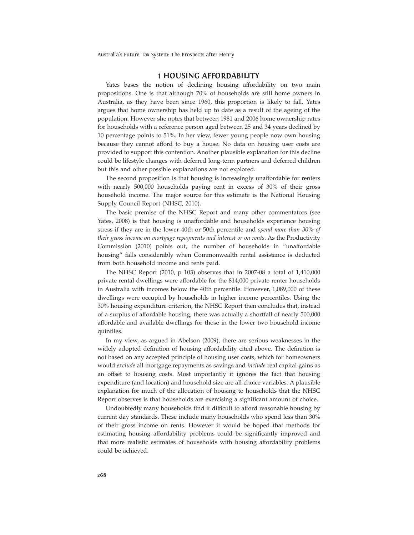Australia's Future Tax System: The Prospects after Henry

### 1HOUSINGAFFORDABILITY

Yates bases the notion of declining housing affordability on two main propositions. One is that although 70% of households are still home owners in Australia, as they have been since 1960, this proportion is likely to fall. Yates argues that home ownership has held up to date as a result of the ageing of the population. However she notes that between 1981 and 2006 home ownership rates for households with a reference person aged between 25 and 34 years declined by 10 percentage points to 51%. In her view, fewer young people now own housing because they cannot afford to buy a house. No data on housing user costs are provided to support this contention. Another plausible explanation for this decline could be lifestyle changes with deferred long-term partners and deferred children but this and other possible explanations are not explored.

The second proposition is that housing is increasingly unaffordable for renters with nearly 500,000 households paying rent in excess of 30% of their gross household income. The major source for this estimate is the National Housing Supply Council Report (NHSC, 2010).

The basic premise of the NHSC Report and many other commentators (see Yates, 2008) is that housing is unaffordable and households experience housing stress if they are in the lower 40th or 50th percentile and *spend more than 30% of their gross income on mortgage repayments and interest or on rents*. As the Productivity Commission (2010) points out, the number of households in "unaffordable housing" falls considerably when Commonwealth rental assistance is deducted from both household income and rents paid.

The NHSC Report (2010, p 103) observes that in 2007-08 a total of 1,410,000 private rental dwellings were affordable for the 814,000 private renter households in Australia with incomes below the 40th percentile. However, 1,089,000 of these dwellings were occupied by households in higher income percentiles. Using the 30% housing expenditure criterion, the NHSC Report then concludes that, instead of a surplus of affordable housing, there was actually a shortfall of nearly 500,000 affordable and available dwellings for those in the lower two household income quintiles.

In my view, as argued in Abelson (2009), there are serious weaknesses in the widely adopted definition of housing affordability cited above. The definition is not based on any accepted principle of housing user costs, which for homeowners would *exclude* all mortgage repayments as savings and *include* real capital gains as an offset to housing costs. Most importantly it ignores the fact that housing expenditure (and location) and household size are all choice variables. A plausible explanation for much of the allocation of housing to households that the NHSC Report observes is that households are exercising a significant amount of choice.

Undoubtedly many households find it difficult to afford reasonable housing by current day standards. These include many households who spend less than 30% of their gross income on rents. However it would be hoped that methods for estimating housing affordability problems could be significantly improved and that more realistic estimates of households with housing affordability problems could be achieved.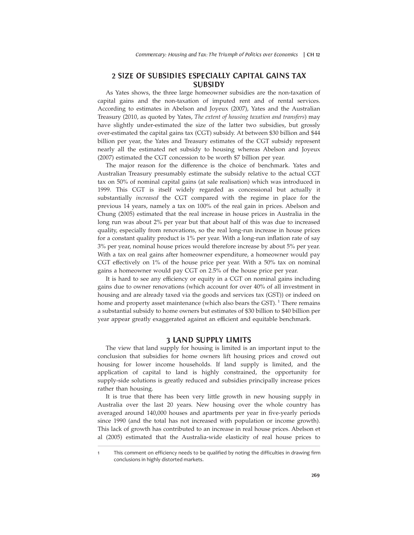#### 2SIZEOFSUBSIDIESES <sup>P</sup> <sup>E</sup> <sup>C</sup> <sup>I</sup> <sup>A</sup> <sup>L</sup> LYCAPITALGAINSTAX  $\sim$  such a second contract of the second contract of the second contract of the second contract of the second contract of the second contract of the second contract of the second contract of the second contract of the se <sup>U</sup> <sup>B</sup> <sup>S</sup> <sup>I</sup> de la companya de la companya de la companya de la companya de la companya de la companya de la companya de la where the contract of the contract of the contract of the contract of the contract of the contract of the contract of the contract of the contract of the contract of the contract of the contract of the contract of the cont

As Yates shows, the three large homeowner subsidies are the non-taxation of capital gains and the non-taxation of imputed rent and of rental services. According to estimates in Abelson and Joyeux (2007), Yates and the Australian Treasury (2010, as quoted by Yates, *The extent of housing taxation and transfers*) may have slightly under-estimated the size of the latter two subsidies, but grossly over-estimated the capital gains tax (CGT) subsidy. At between \$30 billion and \$44 billion per year, the Yates and Treasury estimates of the CGT subsidy represent nearly all the estimated net subsidy to housing whereas Abelson and Joyeux (2007) estimated the CGT concession to be worth \$7 billion per year.

The major reason for the difference is the choice of benchmark. Yates and Australian Treasury presumably estimate the subsidy relative to the actual CGT tax on 50% of nominal capital gains (at sale realisation) which was introduced in 1999. This CGT is itself widely regarded as concessional but actually it substantially *increased* the CGT compared with the regime in place for the previous 14 years, namely a tax on 100% of the real gain in prices. Abelson and Chung (2005) estimated that the real increase in house prices in Australia in the long run was about 2% per year but that about half of this was due to increased quality, especially from renovations, so the real long-run increase in house prices for a constant quality product is 1% per year. With a long-run inflation rate of say 3% per year, nominal house prices would therefore increase by about 5% per year. With a tax on real gains after homeowner expenditure, a homeowner would pay CGT effectively on 1% of the house price per year. With a 50% tax on nominal gains a homeowner would pay CGT on 2.5% of the house price per year.

It is hard to see any efficiency or equity in a CGT on nominal gains including gains due to owner renovations (which account for over 40% of all investment in housing and are already taxed via the goods and services tax (GST)) or indeed on home and property asset maintenance (which also bears the GST).<sup>1</sup> There remains a substantial subsidy to home owners but estimates of \$30 billion to \$40 billion per year appear greatly exaggerated against an efficient and equitable benchmark.

#### 3 LAND SUPPLY LIMITS

The view that land supply for housing is limited is an important input to the conclusion that subsidies for home owners lift housing prices and crowd out housing for lower income households. If land supply is limited, and the application of capital to land is highly constrained, the opportunity for supply-side solutions is greatly reduced and subsidies principally increase prices rather than housing.

It is true that there has been very little growth in new housing supply in Australia over the last 20 years. New housing over the whole country has averaged around 140,000 houses and apartments per year in five-yearly periods since 1990 (and the total has not increased with population or income growth). This lack of growth has contributed to an increase in real house prices. Abelson et al (2005) estimated that the Australia-wide elasticity of real house prices to

This comment on efficiency needs to be qualified by noting the difficulties in drawing firm conclusions in highly distorted markets.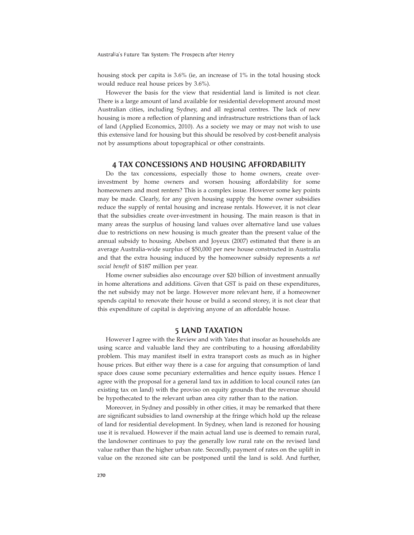Australia's Future Tax System: The Prospects after Henry

housing stock per capita is 3.6% (ie, an increase of 1% in the total housing stock would reduce real house prices by 3.6%).

However the basis for the view that residential land is limited is not clear. There is a large amount of land available for residential development around most Australian cities, including Sydney, and all regional centres. The lack of new housing is more a reflection of planning and infrastructure restrictions than of lack of land (Applied Economics, 2010). As a society we may or may not wish to use this extensive land for housing but this should be resolved by cost-benefit analysis not by assumptions about topographical or other constraints.

#### 4 TAX CONCESSIONS AND HOUSING AFFORDABILITY

Do the tax concessions, especially those to home owners, create overinvestment by home owners and worsen housing affordability for some homeowners and most renters? This is a complex issue. However some key points may be made. Clearly, for any given housing supply the home owner subsidies reduce the supply of rental housing and increase rentals. However, it is not clear that the subsidies create over-investment in housing. The main reason is that in many areas the surplus of housing land values over alternative land use values due to restrictions on new housing is much greater than the present value of the annual subsidy to housing. Abelson and Joyeux (2007) estimated that there is an average Australia-wide surplus of \$50,000 per new house constructed in Australia and that the extra housing induced by the homeowner subsidy represents a *net social benefit* of \$187 million per year.

Home owner subsidies also encourage over \$20 billion of investment annually in home alterations and additions. Given that GST is paid on these expenditures, the net subsidy may not be large. However more relevant here, if a homeowner spends capital to renovate their house or build a second storey, it is not clear that this expenditure of capital is depriving anyone of an affordable house.

### 5LANDTAXATION

using scarce and valuable land they are contributing to a housing affordability However I agree with the Review and with Yates that insofar as households are problem. This may manifest itself in extra transport costs as much as in higher house prices. But either way there is a case for arguing that consumption of land space does cause some pecuniary externalities and hence equity issues. Hence I agree with the proposal for a general land tax in addition to local council rates (an existing tax on land) with the proviso on equity grounds that the revenue should be hypothecated to the relevant urban area city rather than to the nation.

Moreover, in Sydney and possibly in other cities, it may be remarked that there are significant subsidies to land ownership at the fringe which hold up the release of land for residential development. In Sydney, when land is rezoned for housing use it is revalued. However if the main actual land use is deemed to remain rural, the landowner continues to pay the generally low rural rate on the revised land value rather than the higher urban rate. Secondly, payment of rates on the uplift in value on the rezoned site can be postponed until the land is sold. And further,